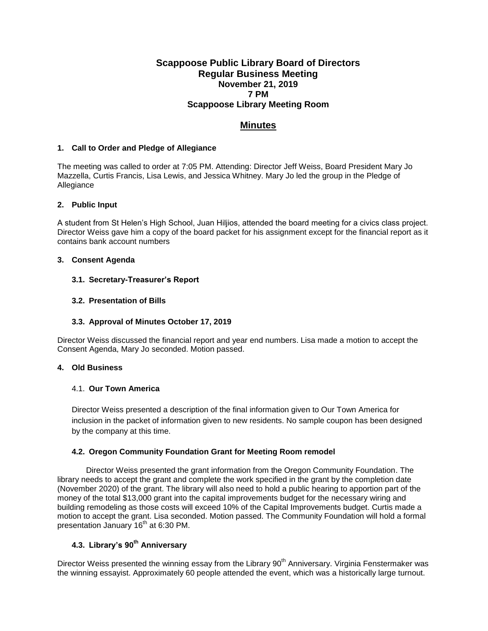## **Scappoose Public Library Board of Directors Regular Business Meeting November 21, 2019 7 PM Scappoose Library Meeting Room**

# **Minutes**

### **1. Call to Order and Pledge of Allegiance**

The meeting was called to order at 7:05 PM. Attending: Director Jeff Weiss, Board President Mary Jo Mazzella, Curtis Francis, Lisa Lewis, and Jessica Whitney. Mary Jo led the group in the Pledge of Allegiance

### **2. Public Input**

A student from St Helen's High School, Juan Hiljios, attended the board meeting for a civics class project. Director Weiss gave him a copy of the board packet for his assignment except for the financial report as it contains bank account numbers

#### **3. Consent Agenda**

#### **3.1. Secretary-Treasurer's Report**

#### **3.2. Presentation of Bills**

### **3.3. Approval of Minutes October 17, 2019**

Director Weiss discussed the financial report and year end numbers. Lisa made a motion to accept the Consent Agenda, Mary Jo seconded. Motion passed.

### **4. Old Business**

### 4.1. **Our Town America**

Director Weiss presented a description of the final information given to Our Town America for inclusion in the packet of information given to new residents. No sample coupon has been designed by the company at this time.

### **4.2. Oregon Community Foundation Grant for Meeting Room remodel**

Director Weiss presented the grant information from the Oregon Community Foundation. The library needs to accept the grant and complete the work specified in the grant by the completion date (November 2020) of the grant. The library will also need to hold a public hearing to apportion part of the money of the total \$13,000 grant into the capital improvements budget for the necessary wiring and building remodeling as those costs will exceed 10% of the Capital Improvements budget. Curtis made a motion to accept the grant. Lisa seconded. Motion passed. The Community Foundation will hold a formal presentation January 16<sup>th</sup> at 6:30 PM.

### **4.3. Library's 90 th Anniversary**

Director Weiss presented the winning essay from the Library 90<sup>th</sup> Anniversary. Virginia Fenstermaker was the winning essayist. Approximately 60 people attended the event, which was a historically large turnout.